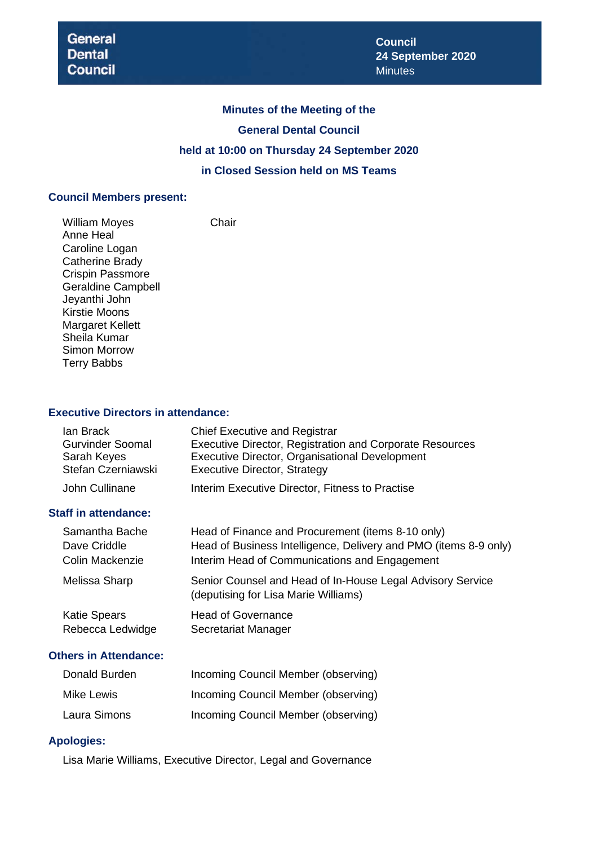# **Minutes of the Meeting of the General Dental Council held at 10:00 on Thursday 24 September 2020 in Closed Session held on MS Teams**

#### **Council Members present:**

William Moyes **Chair** Anne Heal Caroline Logan Catherine Brady Crispin Passmore Geraldine Campbell Jeyanthi John Kirstie Moons Margaret Kellett Sheila Kumar Simon Morrow Terry Babbs

#### **Executive Directors in attendance:**

| lan Brack               | <b>Chief Executive and Registrar</b>                     |
|-------------------------|----------------------------------------------------------|
| <b>Gurvinder Soomal</b> | Executive Director, Registration and Corporate Resources |
| Sarah Keyes             | Executive Director, Organisational Development           |
| Stefan Czerniawski      | <b>Executive Director, Strategy</b>                      |
| John Cullinane          | Interim Executive Director, Fitness to Practise          |

# **Staff in attendance:**

| Samantha Bache         | Head of Finance and Procurement (items 8-10 only)                                                  |
|------------------------|----------------------------------------------------------------------------------------------------|
| Dave Criddle           | Head of Business Intelligence, Delivery and PMO (items 8-9 only)                                   |
| <b>Colin Mackenzie</b> | Interim Head of Communications and Engagement                                                      |
| Melissa Sharp          | Senior Counsel and Head of In-House Legal Advisory Service<br>(deputising for Lisa Marie Williams) |
| <b>Katie Spears</b>    | <b>Head of Governance</b>                                                                          |
| Rebecca Ledwidge       | Secretariat Manager                                                                                |

# **Others in Attendance:**

| Donald Burden | Incoming Council Member (observing) |
|---------------|-------------------------------------|
| Mike Lewis    | Incoming Council Member (observing) |
| Laura Simons  | Incoming Council Member (observing) |

#### **Apologies:**

Lisa Marie Williams, Executive Director, Legal and Governance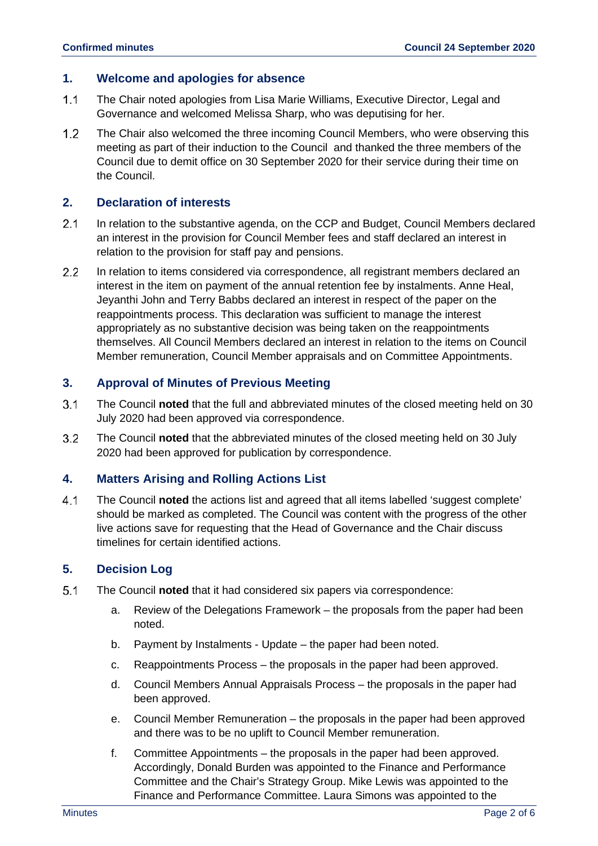#### **1. Welcome and apologies for absence**

- $1.1$ The Chair noted apologies from Lisa Marie Williams, Executive Director, Legal and Governance and welcomed Melissa Sharp, who was deputising for her.
- $1.2$ The Chair also welcomed the three incoming Council Members, who were observing this meeting as part of their induction to the Council and thanked the three members of the Council due to demit office on 30 September 2020 for their service during their time on the Council.

#### **2. Declaration of interests**

- $2.1$ In relation to the substantive agenda, on the CCP and Budget, Council Members declared an interest in the provision for Council Member fees and staff declared an interest in relation to the provision for staff pay and pensions.
- $2.2$ In relation to items considered via correspondence, all registrant members declared an interest in the item on payment of the annual retention fee by instalments. Anne Heal, Jeyanthi John and Terry Babbs declared an interest in respect of the paper on the reappointments process. This declaration was sufficient to manage the interest appropriately as no substantive decision was being taken on the reappointments themselves. All Council Members declared an interest in relation to the items on Council Member remuneration, Council Member appraisals and on Committee Appointments.

#### **3. Approval of Minutes of Previous Meeting**

- $3.1$ The Council **noted** that the full and abbreviated minutes of the closed meeting held on 30 July 2020 had been approved via correspondence.
- $3.2$ The Council **noted** that the abbreviated minutes of the closed meeting held on 30 July 2020 had been approved for publication by correspondence.

## **4. Matters Arising and Rolling Actions List**

 $4.1$ The Council **noted** the actions list and agreed that all items labelled 'suggest complete' should be marked as completed. The Council was content with the progress of the other live actions save for requesting that the Head of Governance and the Chair discuss timelines for certain identified actions.

#### **5. Decision Log**

- $5.1$ The Council **noted** that it had considered six papers via correspondence:
	- a. Review of the Delegations Framework the proposals from the paper had been noted.
	- b. Payment by Instalments Update the paper had been noted.
	- c. Reappointments Process the proposals in the paper had been approved.
	- d. Council Members Annual Appraisals Process the proposals in the paper had been approved.
	- e. Council Member Remuneration the proposals in the paper had been approved and there was to be no uplift to Council Member remuneration.
	- f. Committee Appointments the proposals in the paper had been approved. Accordingly, Donald Burden was appointed to the Finance and Performance Committee and the Chair's Strategy Group. Mike Lewis was appointed to the Finance and Performance Committee. Laura Simons was appointed to the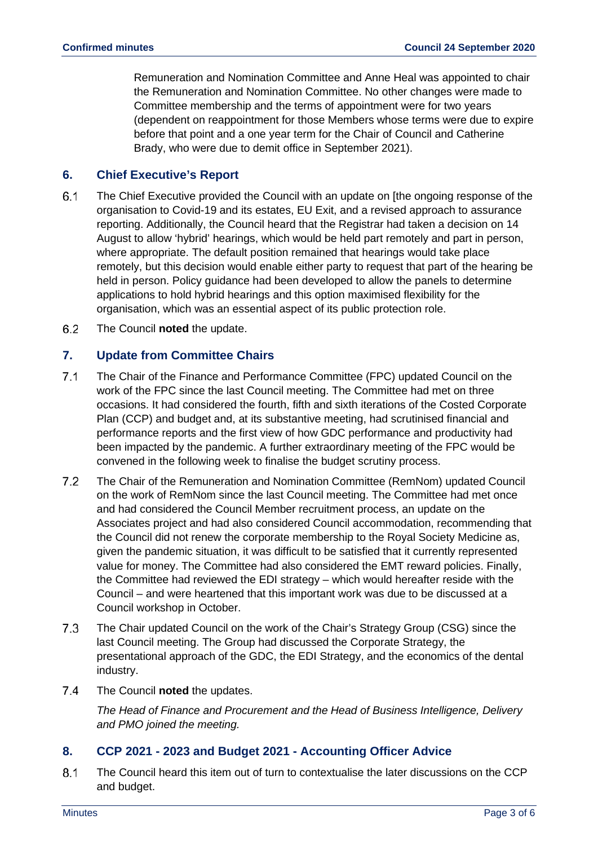Remuneration and Nomination Committee and Anne Heal was appointed to chair the Remuneration and Nomination Committee. No other changes were made to Committee membership and the terms of appointment were for two years (dependent on reappointment for those Members whose terms were due to expire before that point and a one year term for the Chair of Council and Catherine Brady, who were due to demit office in September 2021).

## **6. Chief Executive's Report**

- $6.1$ The Chief Executive provided the Council with an update on [the ongoing response of the organisation to Covid-19 and its estates, EU Exit, and a revised approach to assurance reporting. Additionally, the Council heard that the Registrar had taken a decision on 14 August to allow 'hybrid' hearings, which would be held part remotely and part in person, where appropriate. The default position remained that hearings would take place remotely, but this decision would enable either party to request that part of the hearing be held in person. Policy guidance had been developed to allow the panels to determine applications to hold hybrid hearings and this option maximised flexibility for the organisation, which was an essential aspect of its public protection role.
- $6.2$ The Council **noted** the update.

## **7. Update from Committee Chairs**

- $7.1$ The Chair of the Finance and Performance Committee (FPC) updated Council on the work of the FPC since the last Council meeting. The Committee had met on three occasions. It had considered the fourth, fifth and sixth iterations of the Costed Corporate Plan (CCP) and budget and, at its substantive meeting, had scrutinised financial and performance reports and the first view of how GDC performance and productivity had been impacted by the pandemic. A further extraordinary meeting of the FPC would be convened in the following week to finalise the budget scrutiny process.
- $7.2$ The Chair of the Remuneration and Nomination Committee (RemNom) updated Council on the work of RemNom since the last Council meeting. The Committee had met once and had considered the Council Member recruitment process, an update on the Associates project and had also considered Council accommodation, recommending that the Council did not renew the corporate membership to the Royal Society Medicine as, given the pandemic situation, it was difficult to be satisfied that it currently represented value for money. The Committee had also considered the EMT reward policies. Finally, the Committee had reviewed the EDI strategy – which would hereafter reside with the Council – and were heartened that this important work was due to be discussed at a Council workshop in October.
- $7.3$ The Chair updated Council on the work of the Chair's Strategy Group (CSG) since the last Council meeting. The Group had discussed the Corporate Strategy, the presentational approach of the GDC, the EDI Strategy, and the economics of the dental industry.
- $7.4$ The Council **noted** the updates.

*The Head of Finance and Procurement and the Head of Business Intelligence, Delivery and PMO joined the meeting.*

## **8. CCP 2021 - 2023 and Budget 2021 - Accounting Officer Advice**

 $8.1$ The Council heard this item out of turn to contextualise the later discussions on the CCP and budget.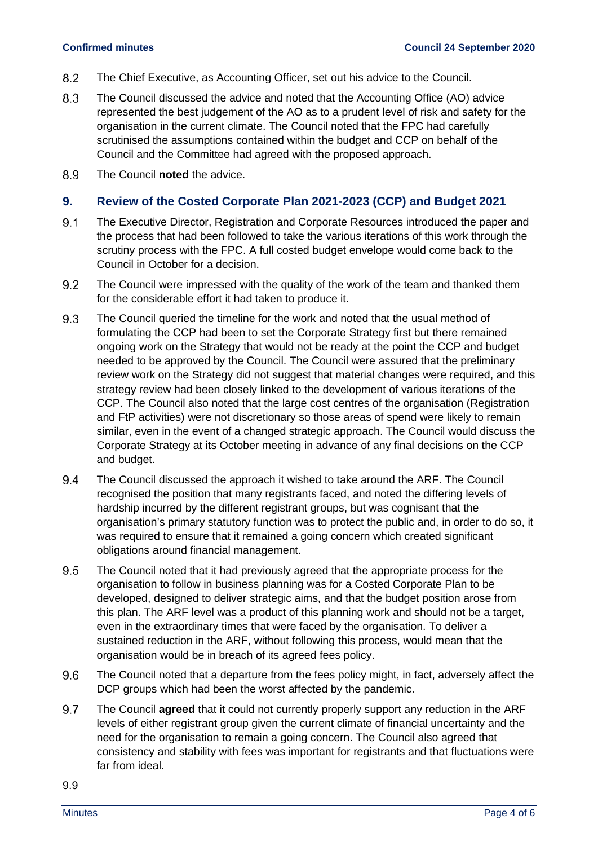- 8.2 The Chief Executive, as Accounting Officer, set out his advice to the Council.
- 8.3 The Council discussed the advice and noted that the Accounting Office (AO) advice represented the best judgement of the AO as to a prudent level of risk and safety for the organisation in the current climate. The Council noted that the FPC had carefully scrutinised the assumptions contained within the budget and CCP on behalf of the Council and the Committee had agreed with the proposed approach.
- 8.9 The Council **noted** the advice.

#### **9. Review of the Costed Corporate Plan 2021-2023 (CCP) and Budget 2021**

- $9.1$ The Executive Director, Registration and Corporate Resources introduced the paper and the process that had been followed to take the various iterations of this work through the scrutiny process with the FPC. A full costed budget envelope would come back to the Council in October for a decision.
- 9.2 The Council were impressed with the quality of the work of the team and thanked them for the considerable effort it had taken to produce it.
- 9.3 The Council queried the timeline for the work and noted that the usual method of formulating the CCP had been to set the Corporate Strategy first but there remained ongoing work on the Strategy that would not be ready at the point the CCP and budget needed to be approved by the Council. The Council were assured that the preliminary review work on the Strategy did not suggest that material changes were required, and this strategy review had been closely linked to the development of various iterations of the CCP. The Council also noted that the large cost centres of the organisation (Registration and FtP activities) were not discretionary so those areas of spend were likely to remain similar, even in the event of a changed strategic approach. The Council would discuss the Corporate Strategy at its October meeting in advance of any final decisions on the CCP and budget.
- 94 The Council discussed the approach it wished to take around the ARF. The Council recognised the position that many registrants faced, and noted the differing levels of hardship incurred by the different registrant groups, but was cognisant that the organisation's primary statutory function was to protect the public and, in order to do so, it was required to ensure that it remained a going concern which created significant obligations around financial management.
- 9.5 The Council noted that it had previously agreed that the appropriate process for the organisation to follow in business planning was for a Costed Corporate Plan to be developed, designed to deliver strategic aims, and that the budget position arose from this plan. The ARF level was a product of this planning work and should not be a target, even in the extraordinary times that were faced by the organisation. To deliver a sustained reduction in the ARF, without following this process, would mean that the organisation would be in breach of its agreed fees policy.
- 9.6 The Council noted that a departure from the fees policy might, in fact, adversely affect the DCP groups which had been the worst affected by the pandemic.
- 9.7 The Council **agreed** that it could not currently properly support any reduction in the ARF levels of either registrant group given the current climate of financial uncertainty and the need for the organisation to remain a going concern. The Council also agreed that consistency and stability with fees was important for registrants and that fluctuations were far from ideal.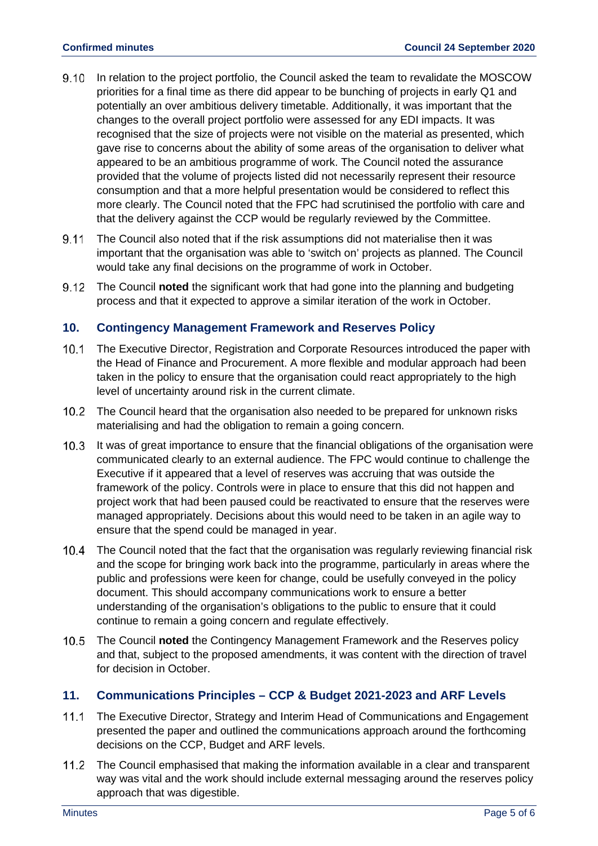- $9.10$ In relation to the project portfolio, the Council asked the team to revalidate the MOSCOW priorities for a final time as there did appear to be bunching of projects in early Q1 and potentially an over ambitious delivery timetable. Additionally, it was important that the changes to the overall project portfolio were assessed for any EDI impacts. It was recognised that the size of projects were not visible on the material as presented, which gave rise to concerns about the ability of some areas of the organisation to deliver what appeared to be an ambitious programme of work. The Council noted the assurance provided that the volume of projects listed did not necessarily represent their resource consumption and that a more helpful presentation would be considered to reflect this more clearly. The Council noted that the FPC had scrutinised the portfolio with care and that the delivery against the CCP would be regularly reviewed by the Committee.
- 9.11 The Council also noted that if the risk assumptions did not materialise then it was important that the organisation was able to 'switch on' projects as planned. The Council would take any final decisions on the programme of work in October.
- $9.12$ The Council **noted** the significant work that had gone into the planning and budgeting process and that it expected to approve a similar iteration of the work in October.

# **10. Contingency Management Framework and Reserves Policy**

- $10.1$ The Executive Director, Registration and Corporate Resources introduced the paper with the Head of Finance and Procurement. A more flexible and modular approach had been taken in the policy to ensure that the organisation could react appropriately to the high level of uncertainty around risk in the current climate.
- The Council heard that the organisation also needed to be prepared for unknown risks materialising and had the obligation to remain a going concern.
- $10.3$ It was of great importance to ensure that the financial obligations of the organisation were communicated clearly to an external audience. The FPC would continue to challenge the Executive if it appeared that a level of reserves was accruing that was outside the framework of the policy. Controls were in place to ensure that this did not happen and project work that had been paused could be reactivated to ensure that the reserves were managed appropriately. Decisions about this would need to be taken in an agile way to ensure that the spend could be managed in year.
- $10.4$ The Council noted that the fact that the organisation was regularly reviewing financial risk and the scope for bringing work back into the programme, particularly in areas where the public and professions were keen for change, could be usefully conveyed in the policy document. This should accompany communications work to ensure a better understanding of the organisation's obligations to the public to ensure that it could continue to remain a going concern and regulate effectively.
- 10.5 The Council **noted** the Contingency Management Framework and the Reserves policy and that, subject to the proposed amendments, it was content with the direction of travel for decision in October.

## **11. Communications Principles – CCP & Budget 2021-2023 and ARF Levels**

- $11.1$ The Executive Director, Strategy and Interim Head of Communications and Engagement presented the paper and outlined the communications approach around the forthcoming decisions on the CCP, Budget and ARF levels.
- $11.2$ The Council emphasised that making the information available in a clear and transparent way was vital and the work should include external messaging around the reserves policy approach that was digestible.